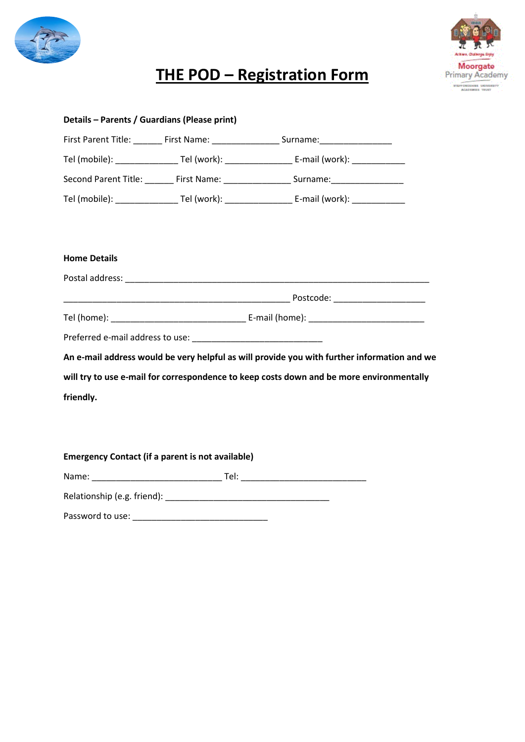

# **THE POD – Registration Form**



| Details - Parents / Guardians (Please print) |                                                         |                                                                                                           |
|----------------------------------------------|---------------------------------------------------------|-----------------------------------------------------------------------------------------------------------|
|                                              |                                                         | First Parent Title: _______ First Name: ___________________ Surname: ____________                         |
|                                              |                                                         | Tel (mobile): _______________________Tel (work): __________________________E-mail (work): _______________ |
|                                              |                                                         | Second Parent Title: _______ First Name: __________________ Surname: ____________                         |
|                                              |                                                         | Tel (mobile): _______________________Tel (work): ________________________________                         |
|                                              |                                                         |                                                                                                           |
| <b>Home Details</b>                          |                                                         |                                                                                                           |
|                                              |                                                         |                                                                                                           |
|                                              |                                                         |                                                                                                           |
|                                              |                                                         |                                                                                                           |
|                                              |                                                         |                                                                                                           |
|                                              |                                                         | An e-mail address would be very helpful as will provide you with further information and we               |
|                                              |                                                         | will try to use e-mail for correspondence to keep costs down and be more environmentally                  |
| friendly.                                    |                                                         |                                                                                                           |
|                                              |                                                         |                                                                                                           |
|                                              |                                                         |                                                                                                           |
|                                              | <b>Emergency Contact (if a parent is not available)</b> |                                                                                                           |

Name: \_\_\_\_\_\_\_\_\_\_\_\_\_\_\_\_\_\_\_\_\_\_\_\_\_\_\_ Tel: \_\_\_\_\_\_\_\_\_\_\_\_\_\_\_\_\_\_\_\_\_\_\_\_\_\_

Relationship (e.g. friend): \_\_\_\_\_\_\_\_\_\_\_\_\_\_\_\_\_\_\_\_\_\_\_\_\_\_\_\_\_\_\_\_\_\_

Password to use: \_\_\_\_\_\_\_\_\_\_\_\_\_\_\_\_\_\_\_\_\_\_\_\_\_\_\_\_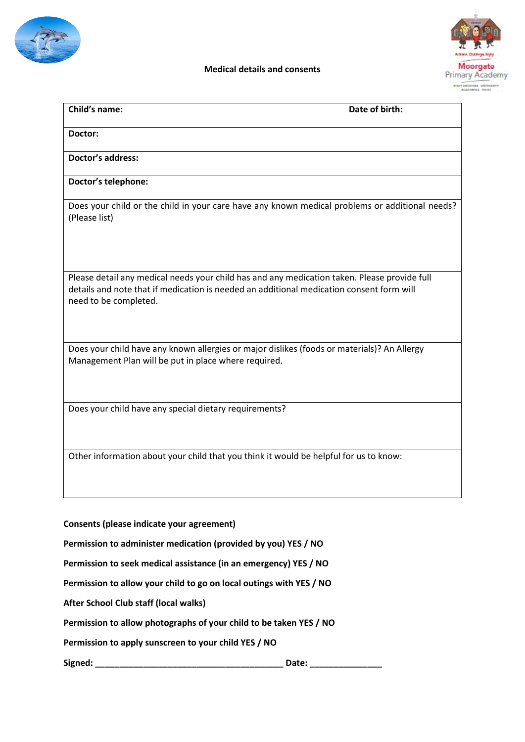

#### **Medical details and consents**



| Child's name:                                                                                                                                                                                                     | Date of birth: |  |  |
|-------------------------------------------------------------------------------------------------------------------------------------------------------------------------------------------------------------------|----------------|--|--|
| Doctor:                                                                                                                                                                                                           |                |  |  |
| <b>Doctor's address:</b>                                                                                                                                                                                          |                |  |  |
| Doctor's telephone:                                                                                                                                                                                               |                |  |  |
| Does your child or the child in your care have any known medical problems or additional needs?<br>(Please list)                                                                                                   |                |  |  |
| Please detail any medical needs your child has and any medication taken. Please provide full<br>details and note that if medication is needed an additional medication consent form will<br>need to be completed. |                |  |  |
| Does your child have any known allergies or major dislikes (foods or materials)? An Allergy<br>Management Plan will be put in place where required.                                                               |                |  |  |
| Does your child have any special dietary requirements?                                                                                                                                                            |                |  |  |
| Other information about your child that you think it would be helpful for us to know:                                                                                                                             |                |  |  |
| <b>Consents (please indicate your agreement)</b>                                                                                                                                                                  |                |  |  |
| Permission to administer medication (provided by you) YES / NO                                                                                                                                                    |                |  |  |
| Permission to seek medical assistance (in an emergency) YES / NO                                                                                                                                                  |                |  |  |
| Permission to allow your child to go on local outings with YES / NO                                                                                                                                               |                |  |  |

**After School Club staff (local walks)**

**Permission to allow photographs of your child to be taken YES / NO**

**Permission to apply sunscreen to your child YES / NO**

**Signed: \_\_\_\_\_\_\_\_\_\_\_\_\_\_\_\_\_\_\_\_\_\_\_\_\_\_\_\_\_\_\_\_\_\_\_\_\_\_\_ Date: \_\_\_\_\_\_\_\_\_\_\_\_\_\_\_**